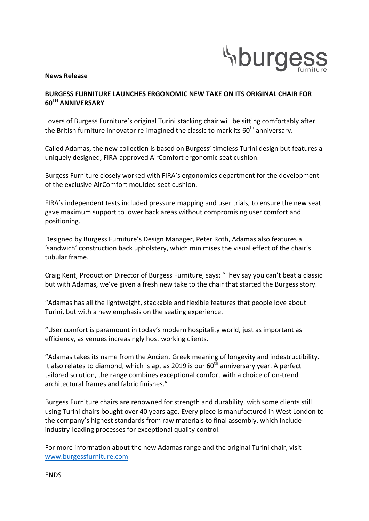

#### **News Release**

# **BURGESS FURNITURE LAUNCHES ERGONOMIC NEW TAKE ON ITS ORIGINAL CHAIR FOR 60TH ANNIVERSARY**

Lovers of Burgess Furniture's original Turini stacking chair will be sitting comfortably after the British furniture innovator re-imagined the classic to mark its  $60<sup>th</sup>$  anniversary.

Called Adamas, the new collection is based on Burgess' timeless Turini design but features a uniquely designed, FIRA-approved AirComfort ergonomic seat cushion.

Burgess Furniture closely worked with FIRA's ergonomics department for the development of the exclusive AirComfort moulded seat cushion.

FIRA's independent tests included pressure mapping and user trials, to ensure the new seat gave maximum support to lower back areas without compromising user comfort and positioning.

Designed by Burgess Furniture's Design Manager, Peter Roth, Adamas also features a 'sandwich' construction back upholstery, which minimises the visual effect of the chair's tubular frame.

Craig Kent, Production Director of Burgess Furniture, says: "They say you can't beat a classic but with Adamas, we've given a fresh new take to the chair that started the Burgess story.

"Adamas has all the lightweight, stackable and flexible features that people love about Turini, but with a new emphasis on the seating experience.

"User comfort is paramount in today's modern hospitality world, just as important as efficiency, as venues increasingly host working clients.

"Adamas takes its name from the Ancient Greek meaning of longevity and indestructibility. It also relates to diamond, which is apt as 2019 is our  $60<sup>th</sup>$  anniversary year. A perfect tailored solution, the range combines exceptional comfort with a choice of on-trend architectural frames and fabric finishes."

Burgess Furniture chairs are renowned for strength and durability, with some clients still using Turini chairs bought over 40 years ago. Every piece is manufactured in West London to the company's highest standards from raw materials to final assembly, which include industry-leading processes for exceptional quality control.

For more information about the new Adamas range and the original Turini chair, visit www.burgessfurniture.com